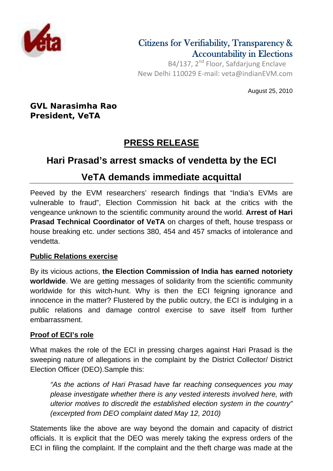

### Citizens for Verifiability, Transparency & Accountability in Elections

B4/137, 2<sup>nd</sup> Floor, Safdarjung Enclave New Delhi 110029 E‐mail: veta@indianEVM.com

August 25, 2010

**GVL Narasimha Rao President, VeTA**

# **PRESS RELEASE**

## **Hari Prasad's arrest smacks of vendetta by the ECI**

### **VeTA demands immediate acquittal**

Peeved by the EVM researchers' research findings that "India's EVMs are vulnerable to fraud", Election Commission hit back at the critics with the vengeance unknown to the scientific community around the world. **Arrest of Hari Prasad Technical Coordinator of VeTA** on charges of theft, house trespass or house breaking etc. under sections 380, 454 and 457 smacks of intolerance and vendetta.

#### **Public Relations exercise**

By its vicious actions, **the Election Commission of India has earned notoriety worldwide**. We are getting messages of solidarity from the scientific community worldwide for this witch-hunt. Why is then the ECI feigning ignorance and innocence in the matter? Flustered by the public outcry, the ECI is indulging in a public relations and damage control exercise to save itself from further embarrassment.

#### **Proof of ECI's role**

What makes the role of the ECI in pressing charges against Hari Prasad is the sweeping nature of allegations in the complaint by the District Collector/ District Election Officer (DEO).Sample this:

*"As the actions of Hari Prasad have far reaching consequences you may please investigate whether there is any vested interests involved here, with ulterior motives to discredit the established election system in the country" (excerpted from DEO complaint dated May 12, 2010)* 

Statements like the above are way beyond the domain and capacity of district officials. It is explicit that the DEO was merely taking the express orders of the ECI in filing the complaint. If the complaint and the theft charge was made at the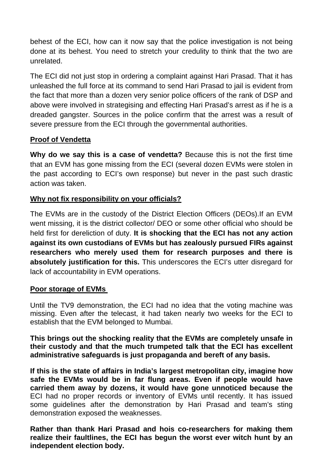behest of the ECI, how can it now say that the police investigation is not being done at its behest. You need to stretch your credulity to think that the two are unrelated.

The ECI did not just stop in ordering a complaint against Hari Prasad. That it has unleashed the full force at its command to send Hari Prasad to jail is evident from the fact that more than a dozen very senior police officers of the rank of DSP and above were involved in strategising and effecting Hari Prasad's arrest as if he is a dreaded gangster. Sources in the police confirm that the arrest was a result of severe pressure from the ECI through the governmental authorities.

#### **Proof of Vendetta**

**Why do we say this is a case of vendetta?** Because this is not the first time that an EVM has gone missing from the ECI (several dozen EVMs were stolen in the past according to ECI's own response) but never in the past such drastic action was taken.

#### **Why not fix responsibility on your officials?**

The EVMs are in the custody of the District Election Officers (DEOs).If an EVM went missing, it is the district collector/ DEO or some other official who should be held first for dereliction of duty. **It is shocking that the ECI has not any action against its own custodians of EVMs but has zealously pursued FIRs against researchers who merely used them for research purposes and there is absolutely justification for this.** This underscores the ECI's utter disregard for lack of accountability in EVM operations.

#### **Poor storage of EVMs**

Until the TV9 demonstration, the ECI had no idea that the voting machine was missing. Even after the telecast, it had taken nearly two weeks for the ECI to establish that the EVM belonged to Mumbai.

**This brings out the shocking reality that the EVMs are completely unsafe in their custody and that the much trumpeted talk that the ECI has excellent administrative safeguards is just propaganda and bereft of any basis.** 

**If this is the state of affairs in India's largest metropolitan city, imagine how safe the EVMs would be in far flung areas. Even if people would have carried them away by dozens, it would have gone unnoticed because the**  ECI had no proper records or inventory of EVMs until recently. It has issued some guidelines after the demonstration by Hari Prasad and team's sting demonstration exposed the weaknesses.

**Rather than thank Hari Prasad and hois co-researchers for making them realize their faultlines, the ECI has begun the worst ever witch hunt by an independent election body.**